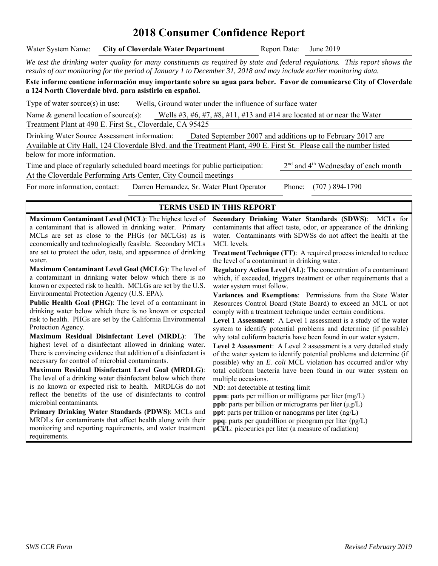# **2018 Consumer Confidence Report**

Water System Name: **City of Cloverdale Water Department** Report Date: June 2019

*We test the drinking water quality for many constituents as required by state and federal regulations. This report shows the results of our monitoring for the period of January 1 to December 31, 2018 and may include earlier monitoring data.* 

**Este informe contiene información muy importante sobre su agua para beber. Favor de comunicarse City of Cloverdale a 124 North Cloverdale blvd. para asistirlo en español.** 

Type of water source(s) in use: Wells, Ground water under the influence of surface water

Name & general location of source(s): Wells #3, #6, #7, #8, #11, #13 and #14 are located at or near the Water Treatment Plant at 490 E. First St., Cloverdale, CA 95425

Drinking Water Source Assessment information: Dated September 2007 and additions up to February 2017 are Available at City Hall, 124 Cloverdale Blvd. and the Treatment Plant, 490 E. First St. Please call the number listed below for more information.

Time and place of regularly scheduled board meetings for public participation:  $2<sup>nd</sup>$  and  $4<sup>th</sup>$  Wednesday of each month At the Cloverdale Performing Arts Center, City Council meetings For more information, contact: Darren Hernandez, Sr. Water Plant Operator Phone: (707 ) 894-1790

#### **TERMS USED IN THIS REPORT**

**Maximum Contaminant Level (MCL)**: The highest level of a contaminant that is allowed in drinking water. Primary MCLs are set as close to the PHGs (or MCLGs) as is economically and technologically feasible. Secondary MCLs are set to protect the odor, taste, and appearance of drinking water.

**Maximum Contaminant Level Goal (MCLG)**: The level of a contaminant in drinking water below which there is no known or expected risk to health. MCLGs are set by the U.S. Environmental Protection Agency (U.S. EPA).

**Public Health Goal (PHG)**: The level of a contaminant in drinking water below which there is no known or expected risk to health. PHGs are set by the California Environmental Protection Agency.

**Maximum Residual Disinfectant Level (MRDL)**: The highest level of a disinfectant allowed in drinking water. There is convincing evidence that addition of a disinfectant is necessary for control of microbial contaminants.

**Maximum Residual Disinfectant Level Goal (MRDLG)**: The level of a drinking water disinfectant below which there is no known or expected risk to health. MRDLGs do not reflect the benefits of the use of disinfectants to control microbial contaminants.

**Primary Drinking Water Standards (PDWS)**: MCLs and MRDLs for contaminants that affect health along with their monitoring and reporting requirements, and water treatment requirements.

**Secondary Drinking Water Standards (SDWS)**:MCLs for contaminants that affect taste, odor, or appearance of the drinking water. Contaminants with SDWSs do not affect the health at the MCL levels.

**Treatment Technique (TT):** A required process intended to reduce the level of a contaminant in drinking water.

**Regulatory Action Level (AL)**: The concentration of a contaminant which, if exceeded, triggers treatment or other requirements that a water system must follow.

**Variances and Exemptions**: Permissions from the State Water Resources Control Board (State Board) to exceed an MCL or not comply with a treatment technique under certain conditions.

**Level 1 Assessment**: A Level 1 assessment is a study of the water system to identify potential problems and determine (if possible) why total coliform bacteria have been found in our water system.

**Level 2 Assessment**: A Level 2 assessment is a very detailed study of the water system to identify potential problems and determine (if possible) why an *E. coli* MCL violation has occurred and/or why total coliform bacteria have been found in our water system on multiple occasions.

**ND**: not detectable at testing limit

**ppm**: parts per million or milligrams per liter (mg/L)

**ppb**: parts per billion or micrograms per liter  $(\mu g/L)$ 

**ppt**: parts per trillion or nanograms per liter (ng/L) **ppq**: parts per quadrillion or picogram per liter (pg/L)

**pCi/L**: picocuries per liter (a measure of radiation)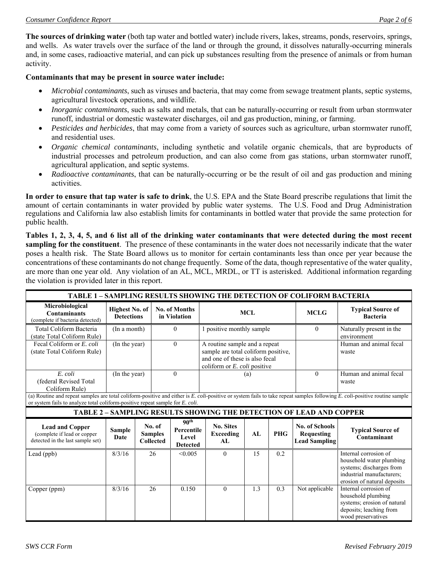**The sources of drinking water** (both tap water and bottled water) include rivers, lakes, streams, ponds, reservoirs, springs, and wells. As water travels over the surface of the land or through the ground, it dissolves naturally-occurring minerals and, in some cases, radioactive material, and can pick up substances resulting from the presence of animals or from human activity.

#### **Contaminants that may be present in source water include:**

- *Microbial contaminants*, such as viruses and bacteria, that may come from sewage treatment plants, septic systems, agricultural livestock operations, and wildlife.
- *Inorganic contaminants*, such as salts and metals, that can be naturally-occurring or result from urban stormwater runoff, industrial or domestic wastewater discharges, oil and gas production, mining, or farming.
- *Pesticides and herbicides*, that may come from a variety of sources such as agriculture, urban stormwater runoff, and residential uses.
- *Organic chemical contaminants*, including synthetic and volatile organic chemicals, that are byproducts of industrial processes and petroleum production, and can also come from gas stations, urban stormwater runoff, agricultural application, and septic systems.
- *Radioactive contaminants*, that can be naturally-occurring or be the result of oil and gas production and mining activities.

**In order to ensure that tap water is safe to drink**, the U.S. EPA and the State Board prescribe regulations that limit the amount of certain contaminants in water provided by public water systems. The U.S. Food and Drug Administration regulations and California law also establish limits for contaminants in bottled water that provide the same protection for public health.

**Tables 1, 2, 3, 4, 5, and 6 list all of the drinking water contaminants that were detected during the most recent sampling for the constituent**. The presence of these contaminants in the water does not necessarily indicate that the water poses a health risk. The State Board allows us to monitor for certain contaminants less than once per year because the concentrations of these contaminants do not change frequently. Some of the data, though representative of the water quality, are more than one year old. Any violation of an AL, MCL, MRDL, or TT is asterisked. Additional information regarding the violation is provided later in this report.

| <b>TABLE 1 - SAMPLING RESULTS SHOWING THE DETECTION OF COLIFORM BACTERIA</b>                                                                                                                                                                                |                       |                                            |                                              |                                                            |                                                                                                                                        |     |            |                                                                            |                                                                                                                                           |
|-------------------------------------------------------------------------------------------------------------------------------------------------------------------------------------------------------------------------------------------------------------|-----------------------|--------------------------------------------|----------------------------------------------|------------------------------------------------------------|----------------------------------------------------------------------------------------------------------------------------------------|-----|------------|----------------------------------------------------------------------------|-------------------------------------------------------------------------------------------------------------------------------------------|
| Microbiological<br><b>Contaminants</b><br>(complete if bacteria detected)                                                                                                                                                                                   |                       | <b>Highest No. of</b><br><b>Detections</b> |                                              | No. of Months<br>in Violation                              | <b>MCL</b>                                                                                                                             |     |            | <b>MCLG</b>                                                                | <b>Typical Source of</b><br><b>Bacteria</b>                                                                                               |
| Total Coliform Bacteria<br>(state Total Coliform Rule)                                                                                                                                                                                                      | (In a month)          |                                            | $\Omega$                                     |                                                            | 1 positive monthly sample                                                                                                              |     | $\theta$   | Naturally present in the<br>environment                                    |                                                                                                                                           |
| Fecal Coliform or E. coli<br>(state Total Coliform Rule)                                                                                                                                                                                                    | (In the year)         |                                            |                                              | $\Omega$                                                   | A routine sample and a repeat<br>sample are total coliform positive,<br>and one of these is also fecal<br>coliform or E. coli positive |     |            |                                                                            | Human and animal fecal<br>waste                                                                                                           |
| E. coli<br>(federal Revised Total<br>Coliform Rule)                                                                                                                                                                                                         | (In the year)         |                                            |                                              | $\theta$                                                   |                                                                                                                                        | (a) |            | $\theta$                                                                   | Human and animal fecal<br>waste                                                                                                           |
| (a) Routine and repeat samples are total coliform-positive and either is E. coli-positive or system fails to take repeat samples following E. coli-positive routine sample<br>or system fails to analyze total coliform-positive repeat sample for E. coli. |                       |                                            |                                              |                                                            |                                                                                                                                        |     |            |                                                                            |                                                                                                                                           |
|                                                                                                                                                                                                                                                             |                       |                                            |                                              |                                                            |                                                                                                                                        |     |            | <b>TABLE 2 - SAMPLING RESULTS SHOWING THE DETECTION OF LEAD AND COPPER</b> |                                                                                                                                           |
| <b>Lead and Copper</b><br>(complete if lead or copper<br>detected in the last sample set)                                                                                                                                                                   | <b>Sample</b><br>Date |                                            | No. of<br><b>Samples</b><br><b>Collected</b> | 90 <sup>th</sup><br>Percentile<br>Level<br><b>Detected</b> | <b>No. Sites</b><br><b>Exceeding</b><br>AL                                                                                             | AI  | <b>PHG</b> | <b>No. of Schools</b><br><b>Requesting</b><br><b>Lead Sampling</b>         | <b>Typical Source of</b><br>Contaminant                                                                                                   |
| Lead (ppb)                                                                                                                                                                                                                                                  | 8/3/16                |                                            | 26                                           | < 0.005                                                    | $\theta$                                                                                                                               | 15  | 0.2        |                                                                            | Internal corrosion of<br>household water plumbing<br>systems; discharges from<br>industrial manufacturers:<br>erosion of natural deposits |
| Copper (ppm)                                                                                                                                                                                                                                                | 8/3/16                |                                            | 26                                           | 0.150                                                      | $\theta$                                                                                                                               | 1.3 | 0.3        | Not applicable                                                             | Internal corrosion of<br>household plumbing<br>systems; erosion of natural<br>deposits; leaching from<br>wood preservatives               |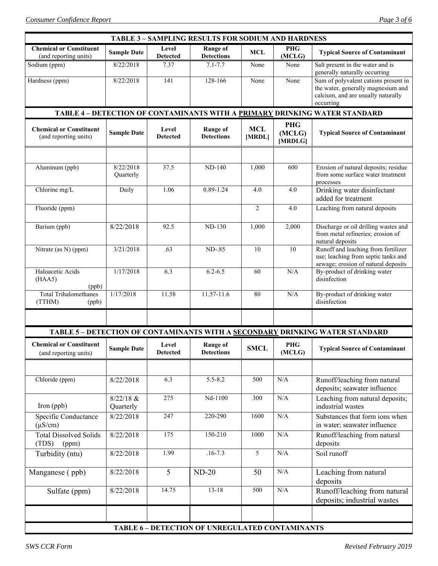| <b>TABLE 3 – SAMPLING RESULTS FOR SODIUM AND HARDNESS</b>                  |                          |                          |                                                 |                      |                                 |                                                                                                                               |  |  |  |
|----------------------------------------------------------------------------|--------------------------|--------------------------|-------------------------------------------------|----------------------|---------------------------------|-------------------------------------------------------------------------------------------------------------------------------|--|--|--|
| <b>Chemical or Constituent</b><br>(and reporting units)                    | <b>Sample Date</b>       | Level<br><b>Detected</b> | <b>Range of</b><br><b>Detections</b>            | <b>MCL</b>           | <b>PHG</b><br>(MCLG)            | <b>Typical Source of Contaminant</b>                                                                                          |  |  |  |
| Sodium (ppm)                                                               | 8/22/2018                | 7.37                     | $7.1 - 7.7$                                     | None                 | None                            | Salt present in the water and is<br>generally naturally occurring                                                             |  |  |  |
| Hardness (ppm)                                                             | 8/22/2018                | 141                      | 128-166                                         | None                 | None                            | Sum of polyvalent cations present in<br>the water, generally magnesium and<br>calcium, and are usually naturally<br>occurring |  |  |  |
| TABLE 4 - DETECTION OF CONTAMINANTS WITH A PRIMARY DRINKING WATER STANDARD |                          |                          |                                                 |                      |                                 |                                                                                                                               |  |  |  |
| <b>Chemical or Constituent</b><br>(and reporting units)                    | <b>Sample Date</b>       | Level<br><b>Detected</b> | <b>Range of</b><br><b>Detections</b>            | <b>MCL</b><br>[MRDL] | <b>PHG</b><br>(MCLG)<br>[MRDLG] | <b>Typical Source of Contaminant</b>                                                                                          |  |  |  |
|                                                                            |                          |                          |                                                 |                      |                                 |                                                                                                                               |  |  |  |
| Aluminum (ppb)                                                             | 8/22/2018<br>Quarterly   | 37.5                     | <b>ND-140</b>                                   | 1,000                | 600                             | Erosion of natural deposits; residue<br>from some surface water treatment<br>processes                                        |  |  |  |
| Chlorine mg/L                                                              | Daily                    | 1.06                     | $0.89 - 1.24$                                   | 4.0                  | 4.0                             | Drinking water disinfectant<br>added for treatment                                                                            |  |  |  |
| Fluoride (ppm)                                                             |                          |                          |                                                 | $\overline{2}$       | 4.0                             | Leaching from natural deposits                                                                                                |  |  |  |
| Barium (ppb)                                                               | 8/22/2018                | 92.5                     | <b>ND-130</b>                                   | 1,000                | 2,000                           | Discharge or oil drilling wastes and<br>from metal refineries; erosion of<br>natural deposits                                 |  |  |  |
| Nitrate (as N) (ppm)                                                       | 3/21/2018                | .63                      | ND-.85                                          | 10                   | 10                              | Runoff and leaching from fertilizer<br>use; leaching from septic tanks and<br>sewage; erosion of natural deposits             |  |  |  |
| Haloacetic Acids<br>(HAA5)<br>(ppb)                                        | 1/17/2018                | 6.3                      | $6.2 - 6.5$                                     | 60                   | N/A                             | By-product of drinking water<br>disinfection                                                                                  |  |  |  |
| <b>Total Trihalomethanes</b><br>(TTHM)<br>(ppb)                            | 1/17/2018                | 11.58                    | 11.57-11.6                                      | 80                   | $\rm N/A$                       | By-product of drinking water<br>disinfection                                                                                  |  |  |  |
|                                                                            |                          |                          |                                                 |                      |                                 |                                                                                                                               |  |  |  |
|                                                                            |                          |                          |                                                 |                      |                                 | TABLE 5 - DETECTION OF CONTAMINANTS WITH A SECONDARY DRINKING WATER STANDARD                                                  |  |  |  |
| <b>Chemical or Constituent</b><br>(and reporting units)                    | <b>Sample Date</b>       | Level<br><b>Detected</b> | <b>Range of</b><br><b>Detections</b>            | <b>SMCL</b>          | <b>PHG</b><br>(MCLG)            | <b>Typical Source of Contaminant</b>                                                                                          |  |  |  |
|                                                                            |                          |                          |                                                 |                      |                                 |                                                                                                                               |  |  |  |
| Chloride (ppm)                                                             | 8/22/2018                | 6.3                      | $5.5 - 8.2$                                     | 500                  | N/A                             | Runoff/leaching from natural<br>deposits; seawater influence                                                                  |  |  |  |
| Iron (ppb)                                                                 | $8/22/18$ &<br>Quarterly | 275                      | Nd-1100                                         | 300                  | $\rm N/A$                       | Leaching from natural deposits;<br>industrial wastes                                                                          |  |  |  |
| Specific Conductance<br>$(\mu S/cm)$                                       | 8/22/2018                | 247                      | 220-290                                         | 1600                 | $\rm N/A$                       | Substances that form ions when<br>in water; seawater influence                                                                |  |  |  |
| <b>Total Dissolved Solids</b><br>(TDS)<br>(ppm)                            | 8/22/2018                | 175                      | 150-210                                         | 1000                 | $\rm N/A$                       | Runoff/leaching from natural<br>deposits                                                                                      |  |  |  |
| Turbidity (ntu)                                                            | 8/22/2018                | 1.99                     | $.16 - 7.3$                                     | $\overline{5}$       | $\rm N/A$                       | Soil runoff                                                                                                                   |  |  |  |
| Manganese (ppb)                                                            | 8/22/2018                | 5                        | $ND-20$                                         | 50                   | $\rm N/A$                       | Leaching from natural<br>deposits                                                                                             |  |  |  |
| Sulfate (ppm)                                                              | 8/22/2018                | 14.75                    | $13 - 18$                                       | 500                  | $\rm N/A$                       | Runoff/leaching from natural<br>deposits; industrial wastes                                                                   |  |  |  |
|                                                                            |                          |                          |                                                 |                      |                                 |                                                                                                                               |  |  |  |
|                                                                            |                          |                          | TABLE 6 - DETECTION OF UNREGULATED CONTAMINANTS |                      |                                 |                                                                                                                               |  |  |  |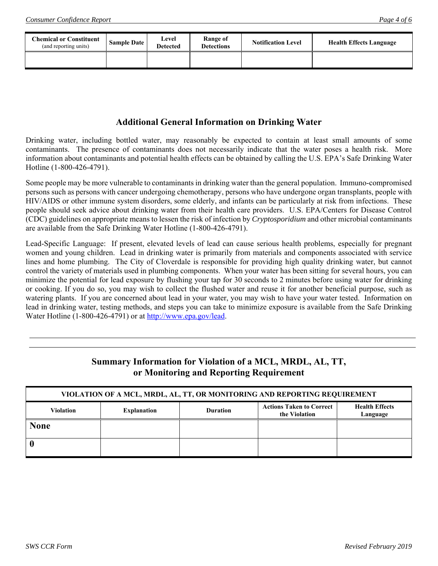| <b>Chemical or Constituent</b><br>(and reporting units) | <b>Sample Date</b> | Level<br><b>Detected</b> | Range of<br><b>Detections</b> | <b>Notification Level</b> | <b>Health Effects Language</b> |
|---------------------------------------------------------|--------------------|--------------------------|-------------------------------|---------------------------|--------------------------------|
|                                                         |                    |                          |                               |                           |                                |

#### **Additional General Information on Drinking Water**

Drinking water, including bottled water, may reasonably be expected to contain at least small amounts of some contaminants. The presence of contaminants does not necessarily indicate that the water poses a health risk. More information about contaminants and potential health effects can be obtained by calling the U.S. EPA's Safe Drinking Water Hotline (1-800-426-4791).

Some people may be more vulnerable to contaminants in drinking water than the general population. Immuno-compromised persons such as persons with cancer undergoing chemotherapy, persons who have undergone organ transplants, people with HIV/AIDS or other immune system disorders, some elderly, and infants can be particularly at risk from infections. These people should seek advice about drinking water from their health care providers. U.S. EPA/Centers for Disease Control (CDC) guidelines on appropriate means to lessen the risk of infection by *Cryptosporidium* and other microbial contaminants are available from the Safe Drinking Water Hotline (1-800-426-4791).

Lead-Specific Language: If present, elevated levels of lead can cause serious health problems, especially for pregnant women and young children. Lead in drinking water is primarily from materials and components associated with service lines and home plumbing. The City of Cloverdale is responsible for providing high quality drinking water, but cannot control the variety of materials used in plumbing components. When your water has been sitting for several hours, you can minimize the potential for lead exposure by flushing your tap for 30 seconds to 2 minutes before using water for drinking or cooking. If you do so, you may wish to collect the flushed water and reuse it for another beneficial purpose, such as watering plants. If you are concerned about lead in your water, you may wish to have your water tested. Information on lead in drinking water, testing methods, and steps you can take to minimize exposure is available from the Safe Drinking Water Hotline (1-800-426-4791) or at http://www.epa.gov/lead.

### **Summary Information for Violation of a MCL, MRDL, AL, TT, or Monitoring and Reporting Requirement**

| VIOLATION OF A MCL, MRDL, AL, TT, OR MONITORING AND REPORTING REQUIREMENT |                    |                 |                                                  |                                   |  |  |  |
|---------------------------------------------------------------------------|--------------------|-----------------|--------------------------------------------------|-----------------------------------|--|--|--|
| <b>Violation</b>                                                          | <b>Explanation</b> | <b>Duration</b> | <b>Actions Taken to Correct</b><br>the Violation | <b>Health Effects</b><br>Language |  |  |  |
| <b>None</b>                                                               |                    |                 |                                                  |                                   |  |  |  |
|                                                                           |                    |                 |                                                  |                                   |  |  |  |